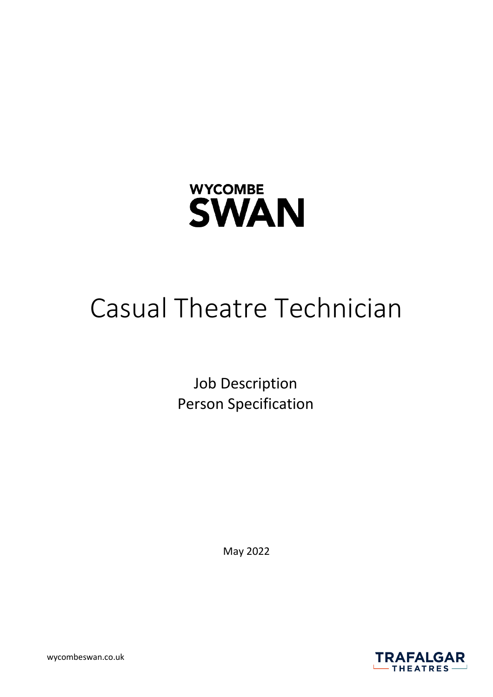

# Casual Theatre Technician

Job Description Person Specification

May 2022



wycombeswan.co.uk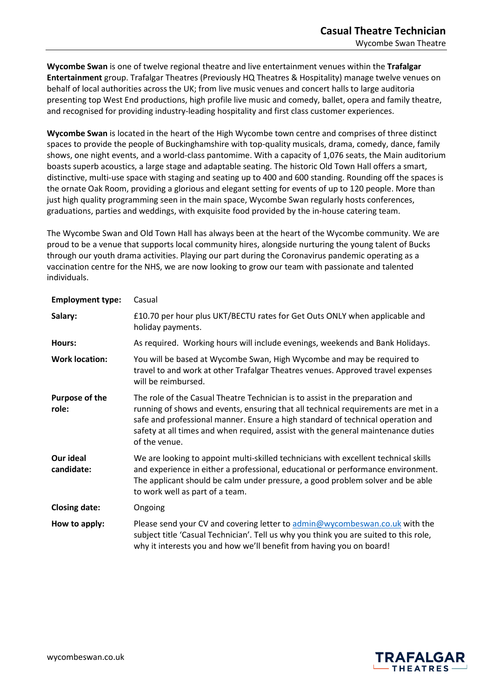**Wycombe Swan** is one of twelve regional theatre and live entertainment venues within the **Trafalgar Entertainment** group. Trafalgar Theatres (Previously HQ Theatres & Hospitality) manage twelve venues on behalf of local authorities across the UK; from live music venues and concert halls to large auditoria presenting top West End productions, high profile live music and comedy, ballet, opera and family theatre, and recognised for providing industry-leading hospitality and first class customer experiences.

**Wycombe Swan** is located in the heart of the High Wycombe town centre and comprises of three distinct spaces to provide the people of Buckinghamshire with top-quality musicals, drama, comedy, dance, family shows, one night events, and a world-class pantomime. With a capacity of 1,076 seats, the Main auditorium boasts superb acoustics, a large stage and adaptable seating. The historic Old Town Hall offers a smart, distinctive, multi-use space with staging and seating up to 400 and 600 standing. Rounding off the spaces is the ornate Oak Room, providing a glorious and elegant setting for events of up to 120 people. More than just high quality programming seen in the main space, Wycombe Swan regularly hosts conferences, graduations, parties and weddings, with exquisite food provided by the in-house catering team.

The Wycombe Swan and Old Town Hall has always been at the heart of the Wycombe community. We are proud to be a venue that supports local community hires, alongside nurturing the young talent of Bucks through our youth drama activities. Playing our part during the Coronavirus pandemic operating as a vaccination centre for the NHS, we are now looking to grow our team with passionate and talented individuals.

| <b>Employment type:</b> | Casual                                                                                                                                                                                                                                                                                                                                                       |
|-------------------------|--------------------------------------------------------------------------------------------------------------------------------------------------------------------------------------------------------------------------------------------------------------------------------------------------------------------------------------------------------------|
| Salary:                 | £10.70 per hour plus UKT/BECTU rates for Get Outs ONLY when applicable and<br>holiday payments.                                                                                                                                                                                                                                                              |
| Hours:                  | As required. Working hours will include evenings, weekends and Bank Holidays.                                                                                                                                                                                                                                                                                |
| <b>Work location:</b>   | You will be based at Wycombe Swan, High Wycombe and may be required to<br>travel to and work at other Trafalgar Theatres venues. Approved travel expenses<br>will be reimbursed.                                                                                                                                                                             |
| Purpose of the<br>role: | The role of the Casual Theatre Technician is to assist in the preparation and<br>running of shows and events, ensuring that all technical requirements are met in a<br>safe and professional manner. Ensure a high standard of technical operation and<br>safety at all times and when required, assist with the general maintenance duties<br>of the venue. |
| Our ideal<br>candidate: | We are looking to appoint multi-skilled technicians with excellent technical skills<br>and experience in either a professional, educational or performance environment.<br>The applicant should be calm under pressure, a good problem solver and be able<br>to work well as part of a team.                                                                 |
| <b>Closing date:</b>    | Ongoing                                                                                                                                                                                                                                                                                                                                                      |
| How to apply:           | Please send your CV and covering letter to admin@wycombeswan.co.uk with the<br>subject title 'Casual Technician'. Tell us why you think you are suited to this role,<br>why it interests you and how we'll benefit from having you on board!                                                                                                                 |

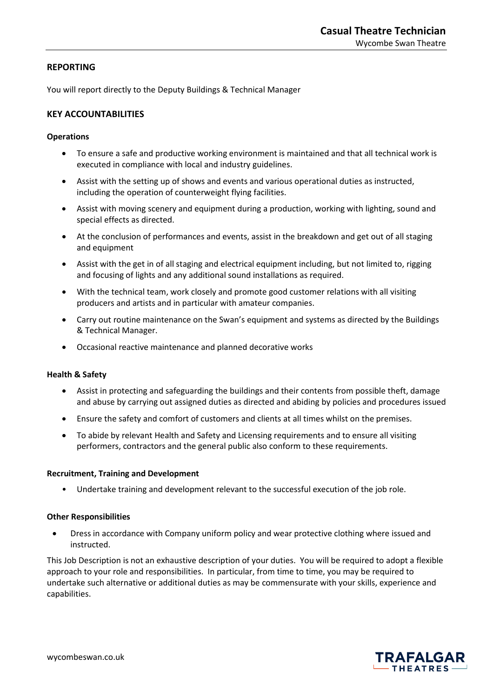## **REPORTING**

You will report directly to the Deputy Buildings & Technical Manager

## **KEY ACCOUNTABILITIES**

## **Operations**

- To ensure a safe and productive working environment is maintained and that all technical work is executed in compliance with local and industry guidelines.
- Assist with the setting up of shows and events and various operational duties as instructed, including the operation of counterweight flying facilities.
- Assist with moving scenery and equipment during a production, working with lighting, sound and special effects as directed.
- At the conclusion of performances and events, assist in the breakdown and get out of all staging and equipment
- Assist with the get in of all staging and electrical equipment including, but not limited to, rigging and focusing of lights and any additional sound installations as required.
- With the technical team, work closely and promote good customer relations with all visiting producers and artists and in particular with amateur companies.
- Carry out routine maintenance on the Swan's equipment and systems as directed by the Buildings & Technical Manager.
- Occasional reactive maintenance and planned decorative works

## **Health & Safety**

- Assist in protecting and safeguarding the buildings and their contents from possible theft, damage and abuse by carrying out assigned duties as directed and abiding by policies and procedures issued
- Ensure the safety and comfort of customers and clients at all times whilst on the premises.
- To abide by relevant Health and Safety and Licensing requirements and to ensure all visiting performers, contractors and the general public also conform to these requirements.

## **Recruitment, Training and Development**

• Undertake training and development relevant to the successful execution of the job role.

## **Other Responsibilities**

• Dress in accordance with Company uniform policy and wear protective clothing where issued and instructed.

This Job Description is not an exhaustive description of your duties. You will be required to adopt a flexible approach to your role and responsibilities. In particular, from time to time, you may be required to undertake such alternative or additional duties as may be commensurate with your skills, experience and capabilities.